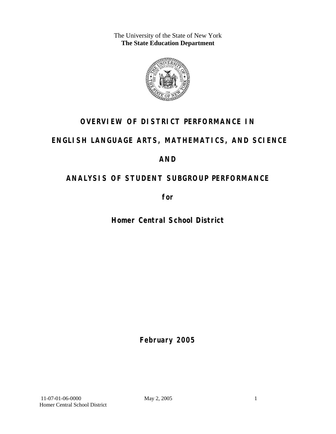The University of the State of New York **The State Education Department** 



# **OVERVIEW OF DISTRICT PERFORMANCE IN**

# **ENGLISH LANGUAGE ARTS, MATHEMATICS, AND SCIENCE**

# **AND**

# **ANALYSIS OF STUDENT SUBGROUP PERFORMANCE**

**for** 

**Homer Central School District**

**February 2005**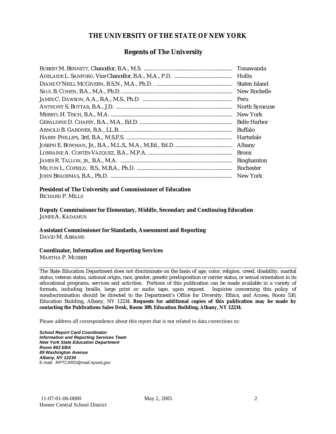#### **THE UNIVERSITY OF THE STATE OF NEW YORK**

#### **Regents of The University**

| Tonawanda             |
|-----------------------|
|                       |
| Staten Island         |
| New Rochelle          |
| Peru                  |
| <b>North Syracuse</b> |
| New York              |
| <b>Belle Harbor</b>   |
| <b>Buffalo</b>        |
| Hartsdale             |
| <b>Albany</b>         |
| <b>Bronx</b>          |
| <b>Binghamton</b>     |
| Rochester             |
| New York              |

## **President of The University and Commissioner of Education**

RICHARD P. MILLS

**Deputy Commissioner for Elementary, Middle, Secondary and Continuing Education**  JAMES A. KADAMUS

#### **Assistant Commissioner for Standards, Assessment and Reporting**  DAVID M. ABRAMS

**Coordinator, Information and Reporting Services** 

MARTHA P. MUSSER

The State Education Department does not discriminate on the basis of age, color, religion, creed, disability, marital status, veteran status, national origin, race, gender, genetic predisposition or carrier status, or sexual orientation in its educational programs, services and activities. Portions of this publication can be made available in a variety of formats, including braille, large print or audio tape, upon request. Inquiries concerning this policy of nondiscrimination should be directed to the Department's Office for Diversity, Ethics, and Access, Room 530, Education Building, Albany, NY 12234. **Requests for additional copies of this publication may be made by contacting the Publications Sales Desk, Room 309, Education Building, Albany, NY 12234.** 

Please address all correspondence about this report that is not related to data corrections to:

*School Report Card Coordinator Information and Reporting Services Team New York State Education Department Room 863 EBA 89 Washington Avenue Albany, NY 12234*  E-mail: *RPTCARD@mail.nysed.gov*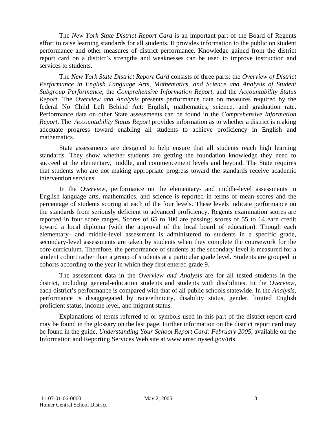The *New York State District Report Card* is an important part of the Board of Regents effort to raise learning standards for all students. It provides information to the public on student performance and other measures of district performance. Knowledge gained from the district report card on a district's strengths and weaknesses can be used to improve instruction and services to students.

The *New York State District Report Card* consists of three parts: the *Overview of District Performance in English Language Arts, Mathematics, and Science and Analysis of Student Subgroup Performance,* the *Comprehensive Information Report,* and the *Accountability Status Report.* The *Overview and Analysis* presents performance data on measures required by the federal No Child Left Behind Act: English, mathematics, science, and graduation rate. Performance data on other State assessments can be found in the *Comprehensive Information Report*. The *Accountability Status Report* provides information as to whether a district is making adequate progress toward enabling all students to achieve proficiency in English and mathematics.

State assessments are designed to help ensure that all students reach high learning standards. They show whether students are getting the foundation knowledge they need to succeed at the elementary, middle, and commencement levels and beyond. The State requires that students who are not making appropriate progress toward the standards receive academic intervention services.

In the *Overview*, performance on the elementary- and middle-level assessments in English language arts, mathematics, and science is reported in terms of mean scores and the percentage of students scoring at each of the four levels. These levels indicate performance on the standards from seriously deficient to advanced proficiency. Regents examination scores are reported in four score ranges. Scores of 65 to 100 are passing; scores of 55 to 64 earn credit toward a local diploma (with the approval of the local board of education). Though each elementary- and middle-level assessment is administered to students in a specific grade, secondary-level assessments are taken by students when they complete the coursework for the core curriculum. Therefore, the performance of students at the secondary level is measured for a student cohort rather than a group of students at a particular grade level. Students are grouped in cohorts according to the year in which they first entered grade 9.

The assessment data in the *Overview and Analysis* are for all tested students in the district, including general-education students and students with disabilities. In the *Overview*, each district's performance is compared with that of all public schools statewide. In the *Analysis*, performance is disaggregated by race/ethnicity, disability status, gender, limited English proficient status, income level, and migrant status.

Explanations of terms referred to or symbols used in this part of the district report card may be found in the glossary on the last page. Further information on the district report card may be found in the guide, *Understanding Your School Report Card: February 2005*, available on the Information and Reporting Services Web site at www.emsc.nysed.gov/irts.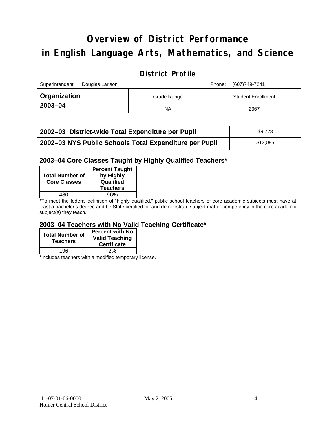# **Overview of District Performance in English Language Arts, Mathematics, and Science**

## **District Profile**

| Superintendent:<br>Douglas Larison |             | Phone: | (607)749-7241             |
|------------------------------------|-------------|--------|---------------------------|
| <sup>1</sup> Organization          | Grade Range |        | <b>Student Enrollment</b> |
| 2003-04                            | <b>NA</b>   |        | 2367                      |

| 2002–03 District-wide Total Expenditure per Pupil      | \$9.728  |
|--------------------------------------------------------|----------|
| 2002-03 NYS Public Schools Total Expenditure per Pupil | \$13,085 |

#### **2003–04 Core Classes Taught by Highly Qualified Teachers\***

| by Highly<br>Qualified<br><b>Teachers</b> |
|-------------------------------------------|
| 96%                                       |
|                                           |

\*To meet the federal definition of "highly qualified," public school teachers of core academic subjects must have at least a bachelor's degree and be State certified for and demonstrate subject matter competency in the core academic subject(s) they teach.

#### **2003–04 Teachers with No Valid Teaching Certificate\***

| <b>Total Number of</b><br><b>Teachers</b> | <b>Percent with No</b><br><b>Valid Teaching</b><br><b>Certificate</b> |
|-------------------------------------------|-----------------------------------------------------------------------|
| 196                                       | 2%                                                                    |

\*Includes teachers with a modified temporary license.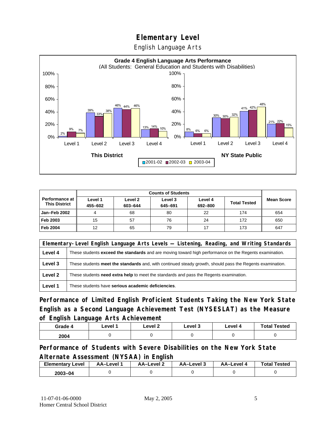English Language Arts



|                                        | <b>Counts of Students</b> |                    |                    |                    |                     |                   |
|----------------------------------------|---------------------------|--------------------|--------------------|--------------------|---------------------|-------------------|
| Performance at<br><b>This District</b> | Level 1<br>455-602        | Level 2<br>603-644 | Level 3<br>645-691 | Level 4<br>692-800 | <b>Total Tested</b> | <b>Mean Score</b> |
| <b>Jan-Feb 2002</b>                    |                           | 68                 | 80                 | 22                 | 174                 | 654               |
| Feb 2003                               | 15                        | 57                 | 76                 | 24                 | 172                 | 650               |
| <b>Feb 2004</b>                        | 12                        | 65                 | 79                 | 17                 | 173                 | 647               |

|         | Elementary-Level English Language Arts Levels — Listening, Reading, and Writing Standards                 |  |  |  |  |
|---------|-----------------------------------------------------------------------------------------------------------|--|--|--|--|
| Level 4 | These students exceed the standards and are moving toward high performance on the Regents examination.    |  |  |  |  |
| Level 3 | These students meet the standards and, with continued steady growth, should pass the Regents examination. |  |  |  |  |
| Level 2 | These students <b>need extra help</b> to meet the standards and pass the Regents examination.             |  |  |  |  |
| Level 1 | These students have serious academic deficiencies.                                                        |  |  |  |  |

**Performance of Limited English Proficient Students Taking the New York State English as a Second Language Achievement Test (NYSESLAT) as the Measure of English Language Arts Achievement**

| Grade 4 | Level 1 | Level 2 | Level 3 | Level 4 | <b>Total Tested</b> |
|---------|---------|---------|---------|---------|---------------------|
| 2004    |         |         |         |         |                     |

**Performance of Students with Severe Disabilities on the New York State Alternate Assessment (NYSAA) in English** 

| <b>Elementary Level</b> | AA-Level | AA-Level 2 | AA-Level 3 | AA-Level 4 | <b>Total Tested</b> |
|-------------------------|----------|------------|------------|------------|---------------------|
| $2003 - 04$             |          |            |            |            |                     |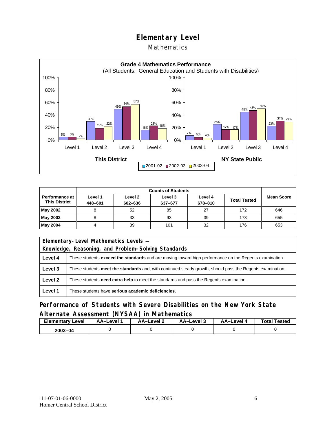#### Mathematics



| <b>Performance at</b><br><b>This District</b> | Level 1<br>448-601 | Level 2<br>602-636 | Level 3<br>637-677 | Level 4<br>678-810 | <b>Total Tested</b> | <b>Mean Score</b> |
|-----------------------------------------------|--------------------|--------------------|--------------------|--------------------|---------------------|-------------------|
| May 2002                                      |                    | 52                 | 85                 | 27                 | 172                 | 646               |
| May 2003                                      | 8                  | 33                 | 93                 | 39                 | 173                 | 655               |
| May 2004                                      |                    | 39                 | 101                | 32                 | 176                 | 653               |

| Elementary-Level Mathematics Levels - |                                                                                                           |  |  |  |  |
|---------------------------------------|-----------------------------------------------------------------------------------------------------------|--|--|--|--|
|                                       | Knowledge, Reasoning, and Problem-Solving Standards                                                       |  |  |  |  |
| Level 4                               | These students exceed the standards and are moving toward high performance on the Regents examination.    |  |  |  |  |
| Level 3                               | These students meet the standards and, with continued steady growth, should pass the Regents examination. |  |  |  |  |
| Level 2                               | These students need extra help to meet the standards and pass the Regents examination.                    |  |  |  |  |
| Level 1                               | These students have serious academic deficiencies.                                                        |  |  |  |  |

## **Performance of Students with Severe Disabilities on the New York State Alternate Assessment (NYSAA) in Mathematics**

| <b>Elementary Level</b> | AA-Level | <b>AA-Level 2</b> | AA-Level 3 | AA-Level 4 | <b>Total Tested</b> |
|-------------------------|----------|-------------------|------------|------------|---------------------|
| 2003-04                 |          |                   |            |            |                     |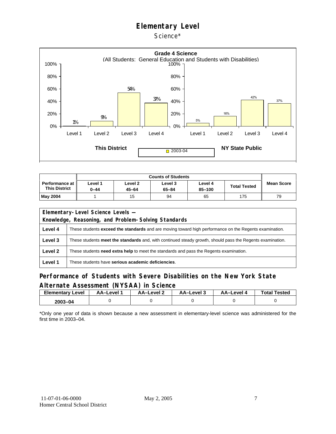Science\*



| Performance at I<br><b>This District</b> | Level 1<br>0-44 | Level 2<br>45-64 | Level 3<br>65-84 | Level 4<br>85-100 | <b>Total Tested</b> | <b>Mean Score</b> |
|------------------------------------------|-----------------|------------------|------------------|-------------------|---------------------|-------------------|
| <b>May 2004</b>                          |                 | 15               | 94               | 65                | 175                 | 79                |

|         | Elementary-Level Science Levels -                                                                             |  |  |  |  |
|---------|---------------------------------------------------------------------------------------------------------------|--|--|--|--|
|         | Knowledge, Reasoning, and Problem-Solving Standards                                                           |  |  |  |  |
| Level 4 | These students <b>exceed the standards</b> and are moving toward high performance on the Regents examination. |  |  |  |  |
| Level 3 | These students meet the standards and, with continued steady growth, should pass the Regents examination.     |  |  |  |  |
| Level 2 | These students need extra help to meet the standards and pass the Regents examination.                        |  |  |  |  |
| Level 1 | These students have serious academic deficiencies.                                                            |  |  |  |  |

#### **Performance of Students with Severe Disabilities on the New York State Alternate Assessment (NYSAA) in Science**

| Elementary<br>Level | AA-Level | AA-Level 2 | AA-Level 3 | AA-Level 4 | <b>Total Tested</b> |
|---------------------|----------|------------|------------|------------|---------------------|
| 2003-04             |          |            |            |            |                     |

\*Only one year of data is shown because a new assessment in elementary-level science was administered for the first time in 2003–04.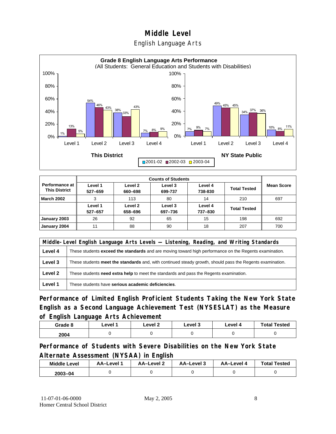### English Language Arts



|                                        |                    |                    | <b>Counts of Students</b> |                    |                     |                   |
|----------------------------------------|--------------------|--------------------|---------------------------|--------------------|---------------------|-------------------|
| Performance at<br><b>This District</b> | Level 1<br>527-659 | Level 2<br>660-698 | Level 3<br>699-737        | Level 4<br>738-830 | <b>Total Tested</b> | <b>Mean Score</b> |
| <b>March 2002</b>                      | 3                  | 113                | 80                        | 14                 | 210                 | 697               |
|                                        | Level 1<br>527-657 | Level 2<br>658-696 | Level 3<br>697-736        | Level 4<br>737-830 | <b>Total Tested</b> |                   |
| January 2003                           | 26                 | 92                 | 65                        | 15                 | 198                 | 692               |
| January 2004                           | 11                 | 88                 | 90                        | 18                 | 207                 | 700               |

|         | Middle-Level English Language Arts Levels — Listening, Reading, and Writing Standards                         |  |  |  |  |
|---------|---------------------------------------------------------------------------------------------------------------|--|--|--|--|
| Level 4 | These students <b>exceed the standards</b> and are moving toward high performance on the Regents examination. |  |  |  |  |
| Level 3 | These students meet the standards and, with continued steady growth, should pass the Regents examination.     |  |  |  |  |
| Level 2 | These students need extra help to meet the standards and pass the Regents examination.                        |  |  |  |  |
| Level 1 | These students have serious academic deficiencies.                                                            |  |  |  |  |

**Performance of Limited English Proficient Students Taking the New York State English as a Second Language Achievement Test (NYSESLAT) as the Measure of English Language Arts Achievement**

| Grade 8 | ∟evel ′ | Level 2 | Level 3 | ∟evel 4 | <b>Total Tested</b> |
|---------|---------|---------|---------|---------|---------------------|
| 2004    |         |         |         |         |                     |

**Performance of Students with Severe Disabilities on the New York State Alternate Assessment (NYSAA) in English** 

| <b>Middle Level</b> | AA-Level | AA-Level 2 | AA-Level 3 | AA-Level 4 | <b>Total Tested</b> |
|---------------------|----------|------------|------------|------------|---------------------|
| $2003 - 04$         |          |            |            |            |                     |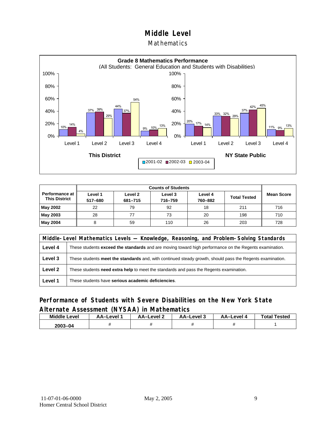#### Mathematics



|                                        |                    | <b>Counts of Students</b> |                    |                    |                     |                   |  |  |  |
|----------------------------------------|--------------------|---------------------------|--------------------|--------------------|---------------------|-------------------|--|--|--|
| Performance at<br><b>This District</b> | Level 1<br>517-680 | Level 2<br>681-715        | Level 3<br>716-759 | Level 4<br>760-882 | <b>Total Tested</b> | <b>Mean Score</b> |  |  |  |
| May 2002                               | 22                 | 79                        | 92                 | 18                 | 211                 | 716               |  |  |  |
| May 2003                               | 28                 | 77                        | 73                 | 20                 | 198                 | 710               |  |  |  |
| May 2004                               | 8                  | 59                        | 110                | 26                 | 203                 | 728               |  |  |  |

|         | Middle-Level Mathematics Levels — Knowledge, Reasoning, and Problem-Solving Standards                     |  |  |  |  |
|---------|-----------------------------------------------------------------------------------------------------------|--|--|--|--|
| Level 4 | These students exceed the standards and are moving toward high performance on the Regents examination.    |  |  |  |  |
| Level 3 | These students meet the standards and, with continued steady growth, should pass the Regents examination. |  |  |  |  |
| Level 2 | These students need extra help to meet the standards and pass the Regents examination.                    |  |  |  |  |
| Level 1 | These students have serious academic deficiencies.                                                        |  |  |  |  |

#### **Performance of Students with Severe Disabilities on the New York State Alternate Assessment (NYSAA) in Mathematics**

| <b>Middle</b><br>Level | AA-Level | <b>PVAL 2</b><br>ΔΔ-I | AA-Level 3 | AA–Level . | <b>Total Tested</b> |
|------------------------|----------|-----------------------|------------|------------|---------------------|
| 2003-04                |          |                       |            |            |                     |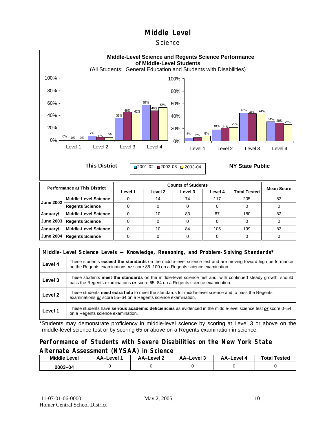#### **Science**



| <b>June 2002</b> | Middle-Level Science        | 14 | 74 | 117 | 205 | 83 |
|------------------|-----------------------------|----|----|-----|-----|----|
|                  | <b>Regents Science</b>      |    |    |     |     |    |
| January/         | Middle-Level Science        | 10 | 83 | 87  | 180 | 82 |
|                  | June 2003   Regents Science |    |    |     |     |    |
| January/         | Middle-Level Science        | 10 | 84 | 105 | 199 | 83 |
|                  | June 2004   Regents Science |    |    |     |     |    |

|         | Middle-Level Science Levels — Knowledge, Reasoning, and Problem-Solving Standards*                                                                                                                  |  |  |  |  |
|---------|-----------------------------------------------------------------------------------------------------------------------------------------------------------------------------------------------------|--|--|--|--|
| Level 4 | These students <b>exceed the standards</b> on the middle-level science test and are moving toward high performance<br>on the Regents examinations or score 85–100 on a Regents science examination. |  |  |  |  |
| Level 3 | These students meet the standards on the middle-level science test and, with continued steady growth, should<br>pass the Regents examinations or score 65-84 on a Regents science examination.      |  |  |  |  |
| Level 2 | These students need extra help to meet the standards for middle-level science and to pass the Regents<br>examinations or score 55-64 on a Regents science examination.                              |  |  |  |  |
| Level 1 | These students have serious academic deficiencies as evidenced in the middle-level science test or score 0–54<br>on a Regents science examination.                                                  |  |  |  |  |

\*Students may demonstrate proficiency in middle-level science by scoring at Level 3 or above on the middle-level science test or by scoring 65 or above on a Regents examination in science.

#### **Performance of Students with Severe Disabilities on the New York State Alternate Assessment (NYSAA) in Science**

| <b>Middle Level</b> | AA–Level | AA-Level 2 | AA-Level 3 | AA-Level 4 | <b>Total Tested</b> |  |
|---------------------|----------|------------|------------|------------|---------------------|--|
| $2003 - 04$         |          |            |            |            |                     |  |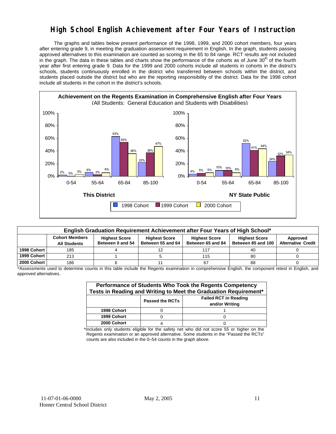## **High School English Achievement after Four Years of Instruction**

 The graphs and tables below present performance of the 1998, 1999, and 2000 cohort members, four years after entering grade 9, in meeting the graduation assessment requirement in English. In the graph, students passing approved alternatives to this examination are counted as scoring in the 65 to 84 range. RCT results are not included in the graph. The data in these tables and charts show the performance of the cohorts as of June 30<sup>th</sup> of the fourth year after first entering grade 9. Data for the 1999 and 2000 cohorts include all students in cohorts in the district's schools, students continuously enrolled in the district who transferred between schools within the district, and students placed outside the district but who are the reporting responsibility of the district. Data for the 1998 cohort include all students in the cohort in the district's schools.



| English Graduation Requirement Achievement after Four Years of High School* |                       |                      |                      |                      |                      |                           |  |  |  |  |
|-----------------------------------------------------------------------------|-----------------------|----------------------|----------------------|----------------------|----------------------|---------------------------|--|--|--|--|
|                                                                             | <b>Cohort Members</b> | <b>Highest Score</b> | <b>Highest Score</b> | <b>Highest Score</b> | <b>Highest Score</b> | Approved                  |  |  |  |  |
|                                                                             | <b>All Students</b>   | Between 0 and 54     | Between 55 and 64    | Between 65 and 84    | Between 85 and 100   | <b>Alternative Credit</b> |  |  |  |  |
| 1998 Cohort                                                                 | 185                   |                      |                      | 117                  | 40                   |                           |  |  |  |  |
| 1999 Cohort                                                                 | 213                   |                      |                      | 115                  | 80                   |                           |  |  |  |  |
| 2000 Cohort                                                                 | 186                   |                      |                      | 67                   | 88                   |                           |  |  |  |  |

\*Assessments used to determine counts in this table include the Regents examination in comprehensive English, the component retest in English, and approved alternatives.

| Performance of Students Who Took the Regents Competency<br>Tests in Reading and Writing to Meet the Graduation Requirement* |  |  |  |  |  |  |  |
|-----------------------------------------------------------------------------------------------------------------------------|--|--|--|--|--|--|--|
| <b>Failed RCT in Reading</b><br><b>Passed the RCTs</b><br>and/or Writing                                                    |  |  |  |  |  |  |  |
| 1998 Cohort                                                                                                                 |  |  |  |  |  |  |  |
| 1999 Cohort                                                                                                                 |  |  |  |  |  |  |  |
| 2000 Cohort                                                                                                                 |  |  |  |  |  |  |  |

\*Includes only students eligible for the safety net who did not score 55 or higher on the Regents examination or an approved alternative. Some students in the "Passed the RCTs" counts are also included in the 0–54 counts in the graph above.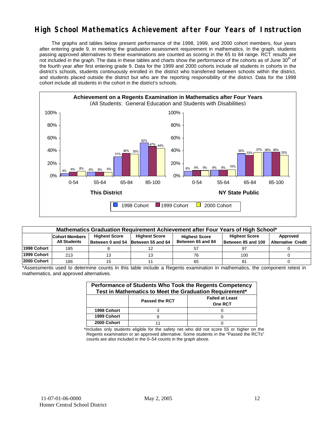## **High School Mathematics Achievement after Four Years of Instruction**

 The graphs and tables below present performance of the 1998, 1999, and 2000 cohort members, four years after entering grade 9, in meeting the graduation assessment requirement in mathematics. In the graph, students passing approved alternatives to these examinations are counted as scoring in the 65 to 84 range. RCT results are not included in the graph. The data in these tables and charts show the performance of the cohorts as of June 30<sup>th</sup> of the fourth year after first entering grade 9. Data for the 1999 and 2000 cohorts include all students in cohorts in the district's schools, students continuously enrolled in the district who transferred between schools within the district, and students placed outside the district but who are the reporting responsibility of the district. Data for the 1998 cohort include all students in the cohort in the district's schools.



| Mathematics Graduation Requirement Achievement after Four Years of High School* |                                                                                                            |    |                                                                   |    |                                            |                                       |  |  |  |  |
|---------------------------------------------------------------------------------|------------------------------------------------------------------------------------------------------------|----|-------------------------------------------------------------------|----|--------------------------------------------|---------------------------------------|--|--|--|--|
|                                                                                 | <b>Highest Score</b><br><b>Cohort Members</b><br><b>All Students</b><br>Between 0 and 54 Between 55 and 64 |    | <b>Highest Score</b><br><b>Highest Score</b><br>Between 65 and 84 |    | <b>Highest Score</b><br>Between 85 and 100 | Approved<br><b>Alternative Credit</b> |  |  |  |  |
| 1998 Cohort                                                                     | 185                                                                                                        |    |                                                                   | 57 |                                            |                                       |  |  |  |  |
| 1999 Cohort                                                                     | 213                                                                                                        | 13 |                                                                   | 76 | 100                                        |                                       |  |  |  |  |
| 2000 Cohort                                                                     | 186                                                                                                        | 15 |                                                                   | 65 |                                            |                                       |  |  |  |  |

\*Assessments used to determine counts in this table include a Regents examination in mathematics, the component retest in mathematics, and approved alternatives.

| Performance of Students Who Took the Regents Competency<br>Test in Mathematics to Meet the Graduation Requirement* |                       |                                          |  |  |  |  |  |
|--------------------------------------------------------------------------------------------------------------------|-----------------------|------------------------------------------|--|--|--|--|--|
|                                                                                                                    | <b>Passed the RCT</b> | <b>Failed at Least</b><br><b>One RCT</b> |  |  |  |  |  |
| 1998 Cohort                                                                                                        |                       |                                          |  |  |  |  |  |
| 1999 Cohort                                                                                                        |                       |                                          |  |  |  |  |  |
| 2000 Cohort                                                                                                        |                       |                                          |  |  |  |  |  |

\*Includes only students eligible for the safety net who did not score 55 or higher on the Regents examination or an approved alternative. Some students in the "Passed the RCTs" counts are also included in the 0–54 counts in the graph above.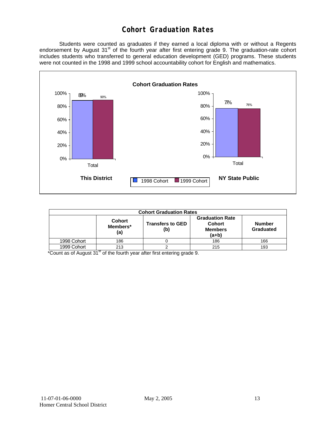## **Cohort Graduation Rates**

 Students were counted as graduates if they earned a local diploma with or without a Regents endorsement by August 31<sup>st</sup> of the fourth year after first entering grade 9. The graduation-rate cohort includes students who transferred to general education development (GED) programs. These students were not counted in the 1998 and 1999 school accountability cohort for English and mathematics.



| <b>Cohort Graduation Rates</b>          |     |                         |                                                                      |                            |  |  |  |  |
|-----------------------------------------|-----|-------------------------|----------------------------------------------------------------------|----------------------------|--|--|--|--|
| <b>Cohort</b><br>Members*<br>(b)<br>(a) |     | <b>Transfers to GED</b> | <b>Graduation Rate</b><br><b>Cohort</b><br><b>Members</b><br>$(a+b)$ | <b>Number</b><br>Graduated |  |  |  |  |
| 1998 Cohort                             | 186 |                         | 186                                                                  | 166                        |  |  |  |  |
| 1999 Cohort                             | 213 |                         | 215                                                                  | 193                        |  |  |  |  |

\*Count as of August 31<sup>st</sup> of the fourth year after first entering grade 9.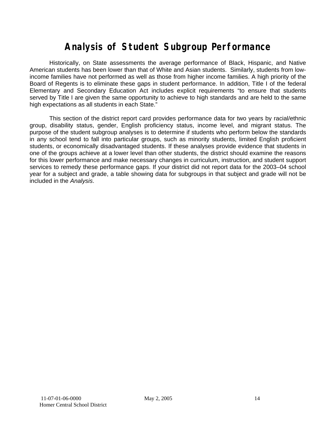# **Analysis of Student Subgroup Performance**

Historically, on State assessments the average performance of Black, Hispanic, and Native American students has been lower than that of White and Asian students. Similarly, students from lowincome families have not performed as well as those from higher income families. A high priority of the Board of Regents is to eliminate these gaps in student performance. In addition, Title I of the federal Elementary and Secondary Education Act includes explicit requirements "to ensure that students served by Title I are given the same opportunity to achieve to high standards and are held to the same high expectations as all students in each State."

This section of the district report card provides performance data for two years by racial/ethnic group, disability status, gender, English proficiency status, income level, and migrant status. The purpose of the student subgroup analyses is to determine if students who perform below the standards in any school tend to fall into particular groups, such as minority students, limited English proficient students, or economically disadvantaged students. If these analyses provide evidence that students in one of the groups achieve at a lower level than other students, the district should examine the reasons for this lower performance and make necessary changes in curriculum, instruction, and student support services to remedy these performance gaps. If your district did not report data for the 2003–04 school year for a subject and grade, a table showing data for subgroups in that subject and grade will not be included in the *Analysis*.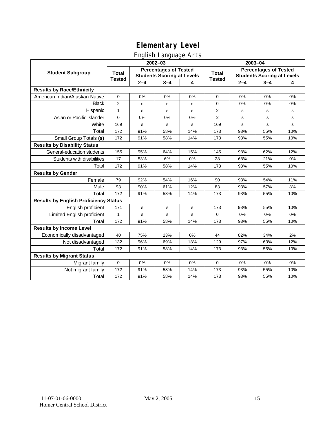## English Language Arts

|                                              |                               |             | $2002 - 03$                                                       |     | 2003-04                       |                                                                   |         |           |
|----------------------------------------------|-------------------------------|-------------|-------------------------------------------------------------------|-----|-------------------------------|-------------------------------------------------------------------|---------|-----------|
| <b>Student Subgroup</b>                      | <b>Total</b><br><b>Tested</b> |             | <b>Percentages of Tested</b><br><b>Students Scoring at Levels</b> |     | <b>Total</b><br><b>Tested</b> | <b>Percentages of Tested</b><br><b>Students Scoring at Levels</b> |         |           |
|                                              |                               | $2 - 4$     | $3 - 4$                                                           | 4   |                               | $2 - 4$                                                           | $3 - 4$ | 4         |
| <b>Results by Race/Ethnicity</b>             |                               |             |                                                                   |     |                               |                                                                   |         |           |
| American Indian/Alaskan Native               | 0                             | 0%          | 0%                                                                | 0%  | 0                             | 0%                                                                | 0%      | 0%        |
| <b>Black</b>                                 | $\overline{2}$                | s           | $\mathbf s$                                                       | s   | 0                             | 0%                                                                | 0%      | 0%        |
| Hispanic                                     | $\mathbf{1}$                  | s           | $\mathbf s$                                                       | s   | 2                             | s                                                                 | s       | s         |
| Asian or Pacific Islander                    | 0                             | 0%          | 0%                                                                | 0%  | 2                             | s                                                                 | s       | s         |
| White                                        | 169                           | s           | s                                                                 | s   | 169                           | s                                                                 | s       | ${\tt s}$ |
| Total                                        | 172                           | 91%         | 58%                                                               | 14% | 173                           | 93%                                                               | 55%     | 10%       |
| Small Group Totals (s)                       | 172                           | 91%         | 58%                                                               | 14% | 173                           | 93%                                                               | 55%     | 10%       |
| <b>Results by Disability Status</b>          |                               |             |                                                                   |     |                               |                                                                   |         |           |
| General-education students                   | 155                           | 95%         | 64%                                                               | 15% | 145                           | 98%                                                               | 62%     | 12%       |
| Students with disabilities                   | 17                            | 53%         | 6%                                                                | 0%  | 28                            | 68%                                                               | 21%     | 0%        |
| Total                                        | 172                           | 91%         | 58%                                                               | 14% | 173                           | 93%                                                               | 55%     | 10%       |
| <b>Results by Gender</b>                     |                               |             |                                                                   |     |                               |                                                                   |         |           |
| Female                                       | 79                            | 92%         | 54%                                                               | 16% | 90                            | 93%                                                               | 54%     | 11%       |
| Male                                         | 93                            | 90%         | 61%                                                               | 12% | 83                            | 93%                                                               | 57%     | 8%        |
| Total                                        | 172                           | 91%         | 58%                                                               | 14% | 173                           | 93%                                                               | 55%     | 10%       |
| <b>Results by English Proficiency Status</b> |                               |             |                                                                   |     |                               |                                                                   |         |           |
| English proficient                           | 171                           | $\mathbf S$ | ${\tt s}$                                                         | s   | 173                           | 93%                                                               | 55%     | 10%       |
| Limited English proficient                   | $\mathbf{1}$                  | s           | s                                                                 | s   | 0                             | 0%                                                                | 0%      | 0%        |
| Total                                        | 172                           | 91%         | 58%                                                               | 14% | 173                           | 93%                                                               | 55%     | 10%       |
| <b>Results by Income Level</b>               |                               |             |                                                                   |     |                               |                                                                   |         |           |
| Economically disadvantaged                   | 40                            | 75%         | 23%                                                               | 0%  | 44                            | 82%                                                               | 34%     | 2%        |
| Not disadvantaged                            | 132                           | 96%         | 69%                                                               | 18% | 129                           | 97%                                                               | 63%     | 12%       |
| Total                                        | 172                           | 91%         | 58%                                                               | 14% | 173                           | 93%                                                               | 55%     | 10%       |
| <b>Results by Migrant Status</b>             |                               |             |                                                                   |     |                               |                                                                   |         |           |
| Migrant family                               | $\mathbf 0$                   | 0%          | 0%                                                                | 0%  | $\mathbf 0$                   | 0%                                                                | 0%      | 0%        |
| Not migrant family                           | 172                           | 91%         | 58%                                                               | 14% | 173                           | 93%                                                               | 55%     | 10%       |
| Total                                        | 172                           | 91%         | 58%                                                               | 14% | 173                           | 93%                                                               | 55%     | 10%       |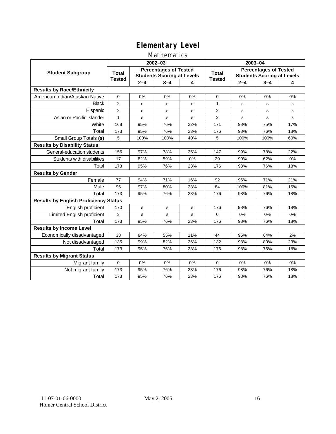#### Mathematics

|                                              |                               |             | 2002-03                                                           |     | 2003-04                       |                                                                   |         |     |
|----------------------------------------------|-------------------------------|-------------|-------------------------------------------------------------------|-----|-------------------------------|-------------------------------------------------------------------|---------|-----|
| <b>Student Subgroup</b>                      | <b>Total</b><br><b>Tested</b> |             | <b>Percentages of Tested</b><br><b>Students Scoring at Levels</b> |     | <b>Total</b><br><b>Tested</b> | <b>Percentages of Tested</b><br><b>Students Scoring at Levels</b> |         |     |
|                                              |                               | $2 - 4$     | $3 - 4$                                                           | 4   |                               | $2 - 4$                                                           | $3 - 4$ | 4   |
| <b>Results by Race/Ethnicity</b>             |                               |             |                                                                   |     |                               |                                                                   |         |     |
| American Indian/Alaskan Native               | $\mathbf{0}$                  | 0%          | 0%                                                                | 0%  | $\Omega$                      | 0%                                                                | 0%      | 0%  |
| <b>Black</b>                                 | $\overline{2}$                | s           | s                                                                 | s   | 1                             | s                                                                 | s       | s   |
| Hispanic                                     | 2                             | s           | s                                                                 | s   | $\overline{2}$                | s                                                                 | s       | s   |
| Asian or Pacific Islander                    | 1                             | s           | s                                                                 | s   | 2                             | $\mathbf s$                                                       | s       | s   |
| White                                        | 168                           | 95%         | 76%                                                               | 22% | 171                           | 98%                                                               | 75%     | 17% |
| Total                                        | 173                           | 95%         | 76%                                                               | 23% | 176                           | 98%                                                               | 76%     | 18% |
| Small Group Totals (s)                       | 5                             | 100%        | 100%                                                              | 40% | 5                             | 100%                                                              | 100%    | 60% |
| <b>Results by Disability Status</b>          |                               |             |                                                                   |     |                               |                                                                   |         |     |
| General-education students                   | 156                           | 97%         | 78%                                                               | 25% | 147                           | 99%                                                               | 78%     | 22% |
| Students with disabilities                   | 17                            | 82%         | 59%                                                               | 0%  | 29                            | 90%                                                               | 62%     | 0%  |
| Total                                        | 173                           | 95%         | 76%                                                               | 23% | 176                           | 98%                                                               | 76%     | 18% |
| <b>Results by Gender</b>                     |                               |             |                                                                   |     |                               |                                                                   |         |     |
| Female                                       | 77                            | 94%         | 71%                                                               | 16% | 92                            | 96%                                                               | 71%     | 21% |
| Male                                         | 96                            | 97%         | 80%                                                               | 28% | 84                            | 100%                                                              | 81%     | 15% |
| Total                                        | 173                           | 95%         | 76%                                                               | 23% | 176                           | 98%                                                               | 76%     | 18% |
| <b>Results by English Proficiency Status</b> |                               |             |                                                                   |     |                               |                                                                   |         |     |
| English proficient                           | 170                           | $\mathbf s$ | s                                                                 | s   | 176                           | 98%                                                               | 76%     | 18% |
| Limited English proficient                   | 3                             | s           | s                                                                 | s   | $\Omega$                      | 0%                                                                | 0%      | 0%  |
| Total                                        | 173                           | 95%         | 76%                                                               | 23% | 176                           | 98%                                                               | 76%     | 18% |
| <b>Results by Income Level</b>               |                               |             |                                                                   |     |                               |                                                                   |         |     |
| Economically disadvantaged                   | 38                            | 84%         | 55%                                                               | 11% | 44                            | 95%                                                               | 64%     | 2%  |
| Not disadvantaged                            | 135                           | 99%         | 82%                                                               | 26% | 132                           | 98%                                                               | 80%     | 23% |
| Total                                        | 173                           | 95%         | 76%                                                               | 23% | 176                           | 98%                                                               | 76%     | 18% |
| <b>Results by Migrant Status</b>             |                               |             |                                                                   |     |                               |                                                                   |         |     |
| Migrant family                               | $\mathbf 0$                   | 0%          | 0%                                                                | 0%  | $\Omega$                      | 0%                                                                | 0%      | 0%  |
| Not migrant family                           | 173                           | 95%         | 76%                                                               | 23% | 176                           | 98%                                                               | 76%     | 18% |
| Total                                        | 173                           | 95%         | 76%                                                               | 23% | 176                           | 98%                                                               | 76%     | 18% |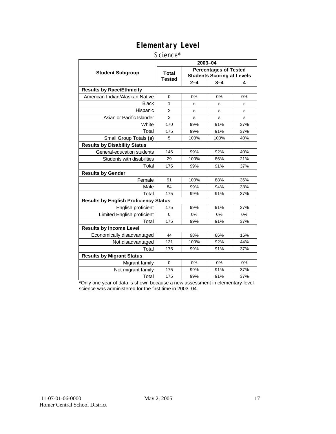#### Science\*

|                                              |                        |         | 2003-04                                                           |     |
|----------------------------------------------|------------------------|---------|-------------------------------------------------------------------|-----|
| <b>Student Subgroup</b>                      | <b>Total</b><br>Tested |         | <b>Percentages of Tested</b><br><b>Students Scoring at Levels</b> |     |
|                                              |                        | $2 - 4$ | $3 - 4$                                                           | 4   |
| <b>Results by Race/Ethnicity</b>             |                        |         |                                                                   |     |
| American Indian/Alaskan Native               | $\Omega$               | 0%      | 0%                                                                | 0%  |
| <b>Black</b>                                 | 1                      | s       | s                                                                 | s   |
| Hispanic                                     | $\overline{2}$         | s       | s                                                                 | s   |
| Asian or Pacific Islander                    | $\overline{2}$         | s       | s                                                                 | s   |
| White                                        | 170                    | 99%     | 91%                                                               | 37% |
| Total                                        | 175                    | 99%     | 91%                                                               | 37% |
| Small Group Totals (s)                       | 5                      | 100%    | 100%                                                              | 40% |
| <b>Results by Disability Status</b>          |                        |         |                                                                   |     |
| General-education students                   | 146                    | 99%     | 92%                                                               | 40% |
| Students with disabilities                   | 29                     | 100%    | 86%                                                               | 21% |
| Total                                        | 175                    | 99%     | 91%                                                               | 37% |
| <b>Results by Gender</b>                     |                        |         |                                                                   |     |
| Female                                       | 91                     | 100%    | 88%                                                               | 36% |
| Male                                         | 84                     | 99%     | 94%                                                               | 38% |
| Total                                        | 175                    | 99%     | 91%                                                               | 37% |
| <b>Results by English Proficiency Status</b> |                        |         |                                                                   |     |
| English proficient                           | 175                    | 99%     | 91%                                                               | 37% |
| Limited English proficient                   | $\Omega$               | 0%      | 0%                                                                | 0%  |
| Total                                        | 175                    | 99%     | 91%                                                               | 37% |
| <b>Results by Income Level</b>               |                        |         |                                                                   |     |
| Economically disadvantaged                   | 44                     | 98%     | 86%                                                               | 16% |
| Not disadvantaged                            | 131                    | 100%    | 92%                                                               | 44% |
| Total                                        | 175                    | 99%     | 91%                                                               | 37% |
| <b>Results by Migrant Status</b>             |                        |         |                                                                   |     |
| Migrant family                               | $\mathbf 0$            | 0%      | 0%                                                                | 0%  |
| Not migrant family                           | 175                    | 99%     | 91%                                                               | 37% |
| Total                                        | 175                    | 99%     | 91%                                                               | 37% |

\*Only one year of data is shown because a new assessment in elementary-level science was administered for the first time in 2003–04.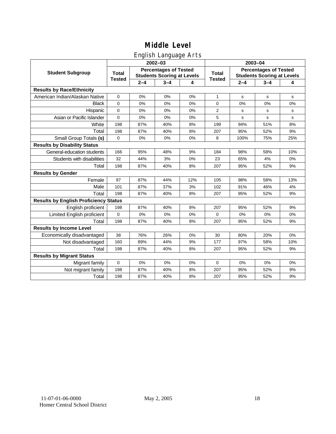## English Language Arts

|                                              |               |         | ັ<br>2002-03                                                      |     |               | 2003-04                                                           |             |              |  |
|----------------------------------------------|---------------|---------|-------------------------------------------------------------------|-----|---------------|-------------------------------------------------------------------|-------------|--------------|--|
| <b>Student Subgroup</b>                      | <b>Total</b>  |         | <b>Percentages of Tested</b><br><b>Students Scoring at Levels</b> |     | Total         | <b>Percentages of Tested</b><br><b>Students Scoring at Levels</b> |             |              |  |
|                                              | <b>Tested</b> | $2 - 4$ | $3 - 4$                                                           | 4   | <b>Tested</b> | $2 - 4$                                                           | $3 - 4$     | 4            |  |
| <b>Results by Race/Ethnicity</b>             |               |         |                                                                   |     |               |                                                                   |             |              |  |
| American Indian/Alaskan Native               | 0             | 0%      | 0%                                                                | 0%  | $\mathbf{1}$  | s                                                                 | $\mathbf s$ | s            |  |
| <b>Black</b>                                 | 0             | 0%      | 0%                                                                | 0%  | 0             | 0%                                                                | 0%          | 0%           |  |
| Hispanic                                     | 0             | 0%      | 0%                                                                | 0%  | 2             | s                                                                 | s           | s            |  |
| Asian or Pacific Islander                    | 0             | 0%      | 0%                                                                | 0%  | 5             | s                                                                 | s           | $\mathbf{s}$ |  |
| White                                        | 198           | 87%     | 40%                                                               | 8%  | 199           | 94%                                                               | 51%         | 8%           |  |
| Total                                        | 198           | 87%     | 40%                                                               | 8%  | 207           | 95%                                                               | 52%         | 9%           |  |
| Small Group Totals (s)                       | $\mathbf 0$   | 0%      | 0%                                                                | 0%  | 8             | 100%                                                              | 75%         | 25%          |  |
| <b>Results by Disability Status</b>          |               |         |                                                                   |     |               |                                                                   |             |              |  |
| General-education students                   | 166           | 95%     | 48%                                                               | 9%  | 184           | 98%                                                               | 58%         | 10%          |  |
| Students with disabilities                   | 32            | 44%     | 3%                                                                | 0%  | 23            | 65%                                                               | 4%          | $0\%$        |  |
| Total                                        | 198           | 87%     | 40%                                                               | 8%  | 207           | 95%                                                               | 52%         | 9%           |  |
| <b>Results by Gender</b>                     |               |         |                                                                   |     |               |                                                                   |             |              |  |
| Female                                       | 97            | 87%     | 44%                                                               | 12% | 105           | 98%                                                               | 58%         | 13%          |  |
| Male                                         | 101           | 87%     | 37%                                                               | 3%  | 102           | 91%                                                               | 46%         | 4%           |  |
| Total                                        | 198           | 87%     | 40%                                                               | 8%  | 207           | 95%                                                               | 52%         | 9%           |  |
| <b>Results by English Proficiency Status</b> |               |         |                                                                   |     |               |                                                                   |             |              |  |
| English proficient                           | 198           | 87%     | 40%                                                               | 8%  | 207           | 95%                                                               | 52%         | 9%           |  |
| Limited English proficient                   | 0             | 0%      | 0%                                                                | 0%  | 0             | 0%                                                                | 0%          | 0%           |  |
| Total                                        | 198           | 87%     | 40%                                                               | 8%  | 207           | 95%                                                               | 52%         | 9%           |  |
| <b>Results by Income Level</b>               |               |         |                                                                   |     |               |                                                                   |             |              |  |
| Economically disadvantaged                   | 38            | 76%     | 26%                                                               | 0%  | 30            | 80%                                                               | 20%         | 0%           |  |
| Not disadvantaged                            | 160           | 89%     | 44%                                                               | 9%  | 177           | 97%                                                               | 58%         | 10%          |  |
| Total                                        | 198           | 87%     | 40%                                                               | 8%  | 207           | 95%                                                               | 52%         | 9%           |  |
| <b>Results by Migrant Status</b>             |               |         |                                                                   |     |               |                                                                   |             |              |  |
| Migrant family                               | $\mathbf 0$   | 0%      | 0%                                                                | 0%  | 0             | 0%                                                                | 0%          | 0%           |  |
| Not migrant family                           | 198           | 87%     | 40%                                                               | 8%  | 207           | 95%                                                               | 52%         | 9%           |  |
| Total                                        | 198           | 87%     | 40%                                                               | 8%  | 207           | 95%                                                               | 52%         | 9%           |  |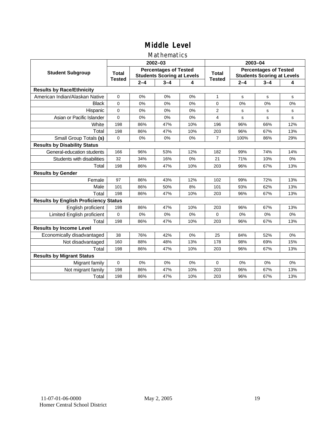## Mathematics

|                                              |               |         | 2002-03                                                           |     |                               | 2003-04                                                           |         |     |  |
|----------------------------------------------|---------------|---------|-------------------------------------------------------------------|-----|-------------------------------|-------------------------------------------------------------------|---------|-----|--|
| <b>Student Subgroup</b>                      | <b>Total</b>  |         | <b>Percentages of Tested</b><br><b>Students Scoring at Levels</b> |     | <b>Total</b><br><b>Tested</b> | <b>Percentages of Tested</b><br><b>Students Scoring at Levels</b> |         |     |  |
|                                              | <b>Tested</b> | $2 - 4$ | $3 - 4$                                                           | 4   |                               | $2 - 4$                                                           | $3 - 4$ | 4   |  |
| <b>Results by Race/Ethnicity</b>             |               |         |                                                                   |     |                               |                                                                   |         |     |  |
| American Indian/Alaskan Native               | $\mathbf 0$   | 0%      | 0%                                                                | 0%  | $\mathbf{1}$                  | s                                                                 | s       | s   |  |
| <b>Black</b>                                 | $\Omega$      | 0%      | 0%                                                                | 0%  | $\Omega$                      | 0%                                                                | 0%      | 0%  |  |
| Hispanic                                     | $\Omega$      | 0%      | 0%                                                                | 0%  | $\overline{2}$                | s                                                                 | s       | s   |  |
| Asian or Pacific Islander                    | 0             | 0%      | 0%                                                                | 0%  | 4                             | $\mathbf s$                                                       | s       | s   |  |
| White                                        | 198           | 86%     | 47%                                                               | 10% | 196                           | 96%                                                               | 66%     | 12% |  |
| Total                                        | 198           | 86%     | 47%                                                               | 10% | 203                           | 96%                                                               | 67%     | 13% |  |
| Small Group Totals (s)                       | $\mathbf 0$   | 0%      | 0%                                                                | 0%  | $\overline{7}$                | 100%                                                              | 86%     | 29% |  |
| <b>Results by Disability Status</b>          |               |         |                                                                   |     |                               |                                                                   |         |     |  |
| General-education students                   | 166           | 96%     | 53%                                                               | 12% | 182                           | 99%                                                               | 74%     | 14% |  |
| Students with disabilities                   | 32            | 34%     | 16%                                                               | 0%  | 21                            | 71%                                                               | 10%     | 0%  |  |
| Total                                        | 198           | 86%     | 47%                                                               | 10% | 203                           | 96%                                                               | 67%     | 13% |  |
| <b>Results by Gender</b>                     |               |         |                                                                   |     |                               |                                                                   |         |     |  |
| Female                                       | 97            | 86%     | 43%                                                               | 12% | 102                           | 99%                                                               | 72%     | 13% |  |
| Male                                         | 101           | 86%     | 50%                                                               | 8%  | 101                           | 93%                                                               | 62%     | 13% |  |
| Total                                        | 198           | 86%     | 47%                                                               | 10% | 203                           | 96%                                                               | 67%     | 13% |  |
| <b>Results by English Proficiency Status</b> |               |         |                                                                   |     |                               |                                                                   |         |     |  |
| English proficient                           | 198           | 86%     | 47%                                                               | 10% | 203                           | 96%                                                               | 67%     | 13% |  |
| Limited English proficient                   | $\mathbf 0$   | 0%      | 0%                                                                | 0%  | $\Omega$                      | 0%                                                                | 0%      | 0%  |  |
| Total                                        | 198           | 86%     | 47%                                                               | 10% | 203                           | 96%                                                               | 67%     | 13% |  |
| <b>Results by Income Level</b>               |               |         |                                                                   |     |                               |                                                                   |         |     |  |
| Economically disadvantaged                   | 38            | 76%     | 42%                                                               | 0%  | 25                            | 84%                                                               | 52%     | 0%  |  |
| Not disadvantaged                            | 160           | 88%     | 48%                                                               | 13% | 178                           | 98%                                                               | 69%     | 15% |  |
| Total                                        | 198           | 86%     | 47%                                                               | 10% | 203                           | 96%                                                               | 67%     | 13% |  |
| <b>Results by Migrant Status</b>             |               |         |                                                                   |     |                               |                                                                   |         |     |  |
| Migrant family                               | $\mathbf 0$   | 0%      | 0%                                                                | 0%  | $\Omega$                      | 0%                                                                | 0%      | 0%  |  |
| Not migrant family                           | 198           | 86%     | 47%                                                               | 10% | 203                           | 96%                                                               | 67%     | 13% |  |
| Total                                        | 198           | 86%     | 47%                                                               | 10% | 203                           | 96%                                                               | 67%     | 13% |  |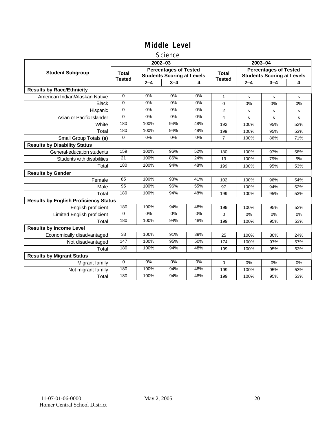#### **Science**

|                                              |                               |         | 2002-03                                                           |       | 2003-04                       |                                                                   |         |     |
|----------------------------------------------|-------------------------------|---------|-------------------------------------------------------------------|-------|-------------------------------|-------------------------------------------------------------------|---------|-----|
| <b>Student Subgroup</b>                      | <b>Total</b><br><b>Tested</b> |         | <b>Percentages of Tested</b><br><b>Students Scoring at Levels</b> |       | <b>Total</b><br><b>Tested</b> | <b>Percentages of Tested</b><br><b>Students Scoring at Levels</b> |         |     |
|                                              |                               | $2 - 4$ | $3 - 4$                                                           | 4     |                               | $2 - 4$                                                           | $3 - 4$ | 4   |
| <b>Results by Race/Ethnicity</b>             |                               |         |                                                                   |       |                               |                                                                   |         |     |
| American Indian/Alaskan Native               | 0                             | 0%      | 0%                                                                | 0%    | 1                             | s                                                                 | s       | s   |
| <b>Black</b>                                 | $\mathbf 0$                   | 0%      | 0%                                                                | 0%    | 0                             | 0%                                                                | 0%      | 0%  |
| Hispanic                                     | $\Omega$                      | $0\%$   | $0\%$                                                             | $0\%$ | 2                             | s                                                                 | s       | s   |
| Asian or Pacific Islander                    | 0                             | 0%      | 0%                                                                | 0%    | 4                             | s                                                                 | s       | s   |
| White                                        | 180                           | 100%    | 94%                                                               | 48%   | 192                           | 100%                                                              | 95%     | 52% |
| Total                                        | 180                           | 100%    | 94%                                                               | 48%   | 199                           | 100%                                                              | 95%     | 53% |
| Small Group Totals (s)                       | $\mathbf 0$                   | 0%      | $0\%$                                                             | 0%    | 7                             | 100%                                                              | 86%     | 71% |
| <b>Results by Disability Status</b>          |                               |         |                                                                   |       |                               |                                                                   |         |     |
| General-education students                   | 159                           | 100%    | 96%                                                               | 52%   | 180                           | 100%                                                              | 97%     | 58% |
| Students with disabilities                   | $\overline{21}$               | 100%    | 86%                                                               | 24%   | 19                            | 100%                                                              | 79%     | 5%  |
| Total                                        | 180                           | 100%    | 94%                                                               | 48%   | 199                           | 100%                                                              | 95%     | 53% |
| <b>Results by Gender</b>                     |                               |         |                                                                   |       |                               |                                                                   |         |     |
| Female                                       | 85                            | 100%    | 93%                                                               | 41%   | 102                           | 100%                                                              | 96%     | 54% |
| Male                                         | 95                            | 100%    | 96%                                                               | 55%   | 97                            | 100%                                                              | 94%     | 52% |
| Total                                        | 180                           | 100%    | 94%                                                               | 48%   | 199                           | 100%                                                              | 95%     | 53% |
| <b>Results by English Proficiency Status</b> |                               |         |                                                                   |       |                               |                                                                   |         |     |
| English proficient                           | 180                           | 100%    | 94%                                                               | 48%   | 199                           | 100%                                                              | 95%     | 53% |
| <b>Limited English proficient</b>            | $\Omega$                      | $0\%$   | 0%                                                                | $0\%$ | 0                             | 0%                                                                | 0%      | 0%  |
| Total                                        | 180                           | 100%    | 94%                                                               | 48%   | 199                           | 100%                                                              | 95%     | 53% |
| <b>Results by Income Level</b>               |                               |         |                                                                   |       |                               |                                                                   |         |     |
| Economically disadvantaged                   | 33                            | 100%    | 91%                                                               | 39%   | 25                            | 100%                                                              | 80%     | 24% |
| Not disadvantaged                            | 147                           | 100%    | 95%                                                               | 50%   | 174                           | 100%                                                              | 97%     | 57% |
| Total                                        | 180                           | 100%    | 94%                                                               | 48%   | 199                           | 100%                                                              | 95%     | 53% |
| <b>Results by Migrant Status</b>             |                               |         |                                                                   |       |                               |                                                                   |         |     |
| Migrant family                               | $\mathbf 0$                   | 0%      | 0%                                                                | 0%    | 0                             | 0%                                                                | 0%      | 0%  |
| Not migrant family                           | 180                           | 100%    | 94%                                                               | 48%   | 199                           | 100%                                                              | 95%     | 53% |
| Total                                        | 180                           | 100%    | 94%                                                               | 48%   | 199                           | 100%                                                              | 95%     | 53% |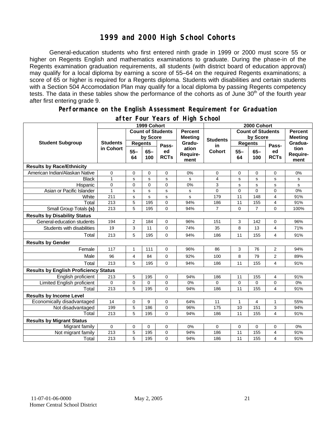## **1999 and 2000 High School Cohorts**

General-education students who first entered ninth grade in 1999 or 2000 must score 55 or higher on Regents English and mathematics examinations to graduate. During the phase-in of the Regents examination graduation requirements, all students (with district board of education approval) may qualify for a local diploma by earning a score of 55–64 on the required Regents examinations; a score of 65 or higher is required for a Regents diploma. Students with disabilities and certain students with a Section 504 Accomodation Plan may qualify for a local diploma by passing Regents competency tests. The data in these tables show the performance of the cohorts as of June 30<sup>th</sup> of the fourth year after first entering grade 9.

#### **Performance on the English Assessment Requirement for Graduation**

|                                              | 1999 Cohort                  |                          |               |                                  |                           | 2000 Cohort              |                |                                  |                   |                          |  |
|----------------------------------------------|------------------------------|--------------------------|---------------|----------------------------------|---------------------------|--------------------------|----------------|----------------------------------|-------------------|--------------------------|--|
| <b>Student Subgroup</b>                      |                              | <b>Count of Students</b> |               | <b>Percent</b><br><b>Meeting</b> |                           | <b>Count of Students</b> |                | <b>Percent</b><br><b>Meeting</b> |                   |                          |  |
|                                              | <b>Students</b><br>in Cohort | by Score                 |               |                                  | <b>Students</b>           | by Score                 |                |                                  |                   |                          |  |
|                                              |                              | <b>Regents</b>           |               | Pass-                            | Gradu-                    | in                       | <b>Regents</b> |                                  | Pass-             | Gradua-                  |  |
|                                              |                              | $55 -$<br>64             | $65 -$<br>100 | ed<br><b>RCTs</b>                | ation<br>Require-<br>ment | <b>Cohort</b>            | $55 -$<br>64   | $65 -$<br>100                    | ed<br><b>RCTs</b> | tion<br>Require-<br>ment |  |
| <b>Results by Race/Ethnicity</b>             |                              |                          |               |                                  |                           |                          |                |                                  |                   |                          |  |
| American Indian/Alaskan Native               | 0                            | 0                        | 0             | $\mathbf 0$                      | 0%                        | 0                        | 0              | 0                                | $\mathbf 0$       | 0%                       |  |
| <b>Black</b>                                 | $\mathbf{1}$                 | s                        | s             | ${\tt s}$                        | s                         | 4                        | s              | s                                | s                 | s                        |  |
| Hispanic                                     | $\mathbf 0$                  | 0                        | $\Omega$      | $\overline{0}$                   | 0%                        | 3                        | s              | s                                | s                 | s                        |  |
| Asian or Pacific Islander                    | $\mathbf{1}$                 | s                        | $\mathbf s$   | $\mathbf s$                      | s                         | 0                        | $\mathbf 0$    | $\Omega$                         | $\mathbf 0$       | 0%                       |  |
| White                                        | 211                          | s                        | s             | $\mathbf s$                      | s                         | 179                      | 11             | 148                              | 4                 | 91%                      |  |
| Total                                        | 213                          | 5                        | 195           | $\mathbf 0$                      | 94%                       | 186                      | 11             | 155                              | 4                 | 91%                      |  |
| Small Group Totals (s)                       | 213                          | 5                        | 195           | $\Omega$                         | 94%                       | $\overline{7}$           | $\Omega$       | $\overline{7}$                   | $\Omega$          | 100%                     |  |
| <b>Results by Disability Status</b>          |                              |                          |               |                                  |                           |                          |                |                                  |                   |                          |  |
| General-education students                   | 194                          | $\overline{2}$           | 184           | 0                                | 96%                       | 151                      | 3              | 142                              | 0                 | 96%                      |  |
| Students with disabilities                   | 19                           | 3                        | 11            | $\mathbf 0$                      | 74%                       | 35                       | 8              | 13                               | 4                 | 71%                      |  |
| Total                                        | 213                          | 5                        | 195           | 0                                | 94%                       | 186                      | 11             | 155                              | 4                 | 91%                      |  |
| <b>Results by Gender</b>                     |                              |                          |               |                                  |                           |                          |                |                                  |                   |                          |  |
| Female                                       | 117                          | $\mathbf{1}$             | 111           | $\mathbf 0$                      | 96%                       | 86                       | 3              | 76                               | $\overline{2}$    | 94%                      |  |
| Male                                         | 96                           | $\overline{4}$           | 84            | $\Omega$                         | 92%                       | 100                      | 8              | 79                               | $\overline{2}$    | 89%                      |  |
| Total                                        | 213                          | 5                        | 195           | $\Omega$                         | 94%                       | 186                      | 11             | 155                              | 4                 | 91%                      |  |
| <b>Results by English Proficiency Status</b> |                              |                          |               |                                  |                           |                          |                |                                  |                   |                          |  |
| English proficient                           | 213                          | 5                        | 195           | $\mathbf 0$                      | 94%                       | 186                      | 11             | 155                              | 4                 | 91%                      |  |
| Limited English proficient                   | $\mathbf 0$                  | 0                        | 0             | 0                                | 0%                        | 0                        | 0              | 0                                | 0                 | 0%                       |  |
| Total                                        | 213                          | 5                        | 195           | $\Omega$                         | 94%                       | 186                      | 11             | 155                              | 4                 | 91%                      |  |
| <b>Results by Income Level</b>               |                              |                          |               |                                  |                           |                          |                |                                  |                   |                          |  |
| Economically disadvantaged                   | 14                           | 0                        | 9             | $\mathbf 0$                      | 64%                       | 11                       | $\mathbf{1}$   | 4                                | 1                 | 55%                      |  |
| Not disadvantaged                            | 199                          | 5                        | 186           | 0                                | 96%                       | 175                      | 10             | 151                              | 3                 | 94%                      |  |
| Total                                        | 213                          | 5                        | 195           | $\Omega$                         | 94%                       | 186                      | 11             | 155                              | 4                 | 91%                      |  |
| <b>Results by Migrant Status</b>             |                              |                          |               |                                  |                           |                          |                |                                  |                   |                          |  |
| Migrant family                               | $\mathbf 0$                  | 0                        | 0             | $\mathbf 0$                      | 0%                        | $\Omega$                 | $\mathbf 0$    | 0                                | 0                 | 0%                       |  |
| Not migrant family                           | 213                          | 5                        | 195           | $\mathbf 0$                      | 94%                       | 186                      | 11             | 155                              | 4                 | 91%                      |  |
| Total                                        | 213                          | 5                        | 195           | $\Omega$                         | 94%                       | 186                      | 11             | 155                              | 4                 | 91%                      |  |

#### **after Four Years of High School**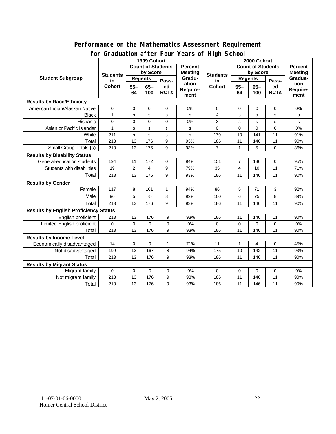#### **for Graduation after Four Years of High School 1999 Cohort Count of Students by Score Count of Students by Score** Student Subgroup Students **Busicial Students** Regents **Regents Student Students Regents in Cohort 55– 64 65– 100 Passed RCTs Percent Meeting Graduation Requirement Students in Cohort 55– 64 65– 100 Passed RCTs Percent Meeting Graduation Requirement Results by Race/Ethnicity**  American Indian/Alaskan Native 0 0 0 0 0% 0 0 0 0 0% Black 1 s s s s 4 s s s s Hispanic | 0 | 0 | 0 | 0 | 0% | 3 | s | s | s | s Asian or Pacific Islander 1 s s s s 0 0 0 0 0% White | 211 | s | s | s | s | 179 | 10 | 141 | 11 | 91% Total 213 | 13 | 176 | 9 | 93% | 186 | 11 | 146 | 11 | 90% Small Group Totals **(s)** 213 13 176 9 93% 7 1 5 0 86% **Results by Disability Status**  General-education students 194 11 172 0 94% 151 7 136 0 95% Students with disabilities | 19 | 2 | 4 | 9 | 79% | 35 | 4 | 10 | 11 | 71% Total 213 | 13 | 176 | 9 | 93% | 186 | 11 | 146 | 11 | 90% **Results by Gender**  Female | 117 | 8 | 101 | 1 | 94% | 86 | 5 | 71 | 3 | 92% Male | 96 | 5 | 75 | 8 | 92% | 100 | 6 | 75 | 8 | 89% Total 213 | 13 | 176 | 9 | 93% | 186 | 11 | 146 | 11 | 90% **Results by English Proficiency Status**  English proficient 213 13 176 9 93% 186 11 146 11 90% Limited English proficient 0 0 0 0 0% 0 0 0 0 0% Total | 213 | 13 | 176 | 9 | 93% | 186 | 11 | 146 | 11 | 90% **Results by Income Level**  Economically disadvantaged 14 0 9 1 71% 11 1 4 0 45% Not disadvantaged 199 13 167 8 94% 175 10 142 11 93% Total | 213 | 13 | 176 | 9 | 93% | 186 | 11 | 146 | 11 | 90% **Results by Migrant Status**  Migrant family 0 0 0 0 0% 0 0 0 0 0% Not migrant family 213 13 176 9 93% 186 11 146 11 90%

Total | 213 | 13 | 176 | 9 | 93% | 186 | 11 | 146 | 11 | 90%

# **Performance on the Mathematics Assessment Requirement**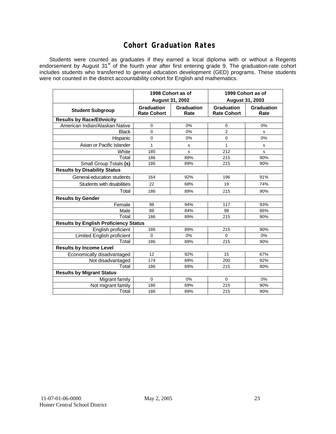## **Cohort Graduation Rates**

Students were counted as graduates if they earned a local diploma with or without a Regents endorsement by August 31<sup>st</sup> of the fourth year after first entering grade 9. The graduation-rate cohort includes students who transferred to general education development (GED) programs. These students were not counted in the district accountability cohort for English and mathematics.

|                                              |                                         | 1998 Cohort as of  | 1999 Cohort as of<br>August 31, 2003    |                    |  |  |  |  |  |
|----------------------------------------------|-----------------------------------------|--------------------|-----------------------------------------|--------------------|--|--|--|--|--|
|                                              | <b>August 31, 2002</b>                  |                    |                                         |                    |  |  |  |  |  |
| <b>Student Subgroup</b>                      | <b>Graduation</b><br><b>Rate Cohort</b> | Graduation<br>Rate | <b>Graduation</b><br><b>Rate Cohort</b> | Graduation<br>Rate |  |  |  |  |  |
| <b>Results by Race/Ethnicity</b>             |                                         |                    |                                         |                    |  |  |  |  |  |
| American Indian/Alaskan Native               | 0                                       | 0%                 | $\mathbf 0$                             | 0%                 |  |  |  |  |  |
| <b>Black</b>                                 | $\Omega$                                | 0%                 | $\overline{2}$                          | s                  |  |  |  |  |  |
| Hispanic                                     | $\mathbf 0$                             | 0%                 | $\mathbf 0$                             | 0%                 |  |  |  |  |  |
| Asian or Pacific Islander                    | 1                                       | s                  | 1                                       | s                  |  |  |  |  |  |
| White                                        | 185                                     | s                  | 212                                     | s                  |  |  |  |  |  |
| Total                                        | 186                                     | 89%                | 215                                     | 90%                |  |  |  |  |  |
| Small Group Totals (s)                       | 186                                     | 89%                | 215                                     | 90%                |  |  |  |  |  |
| <b>Results by Disability Status</b>          |                                         |                    |                                         |                    |  |  |  |  |  |
| General-education students                   | 164                                     | 92%                | 196                                     | 91%                |  |  |  |  |  |
| Students with disabilities                   | 22                                      | 68%                | 19                                      | 74%                |  |  |  |  |  |
| Total                                        | 186                                     | 89%                | 215                                     | 90%                |  |  |  |  |  |
| <b>Results by Gender</b>                     |                                         |                    |                                         |                    |  |  |  |  |  |
| Female                                       | 98                                      | 94%                | 117                                     | 93%                |  |  |  |  |  |
| Male                                         | 88                                      | 84%                | 98                                      | 86%                |  |  |  |  |  |
| Total                                        | 186                                     | 89%                | 215                                     | 90%                |  |  |  |  |  |
| <b>Results by English Proficiency Status</b> |                                         |                    |                                         |                    |  |  |  |  |  |
| English proficient                           | 186                                     | 89%                | 215                                     | 90%                |  |  |  |  |  |
| Limited English proficient                   | $\Omega$                                | 0%                 | $\Omega$                                | 0%                 |  |  |  |  |  |
| Total                                        | 186                                     | 89%                | 215                                     | 90%                |  |  |  |  |  |
| <b>Results by Income Level</b>               |                                         |                    |                                         |                    |  |  |  |  |  |
| Economically disadvantaged                   | 12                                      | 92%                | 15                                      | 67%                |  |  |  |  |  |
| Not disadvantaged                            | 174                                     | 89%                | 200                                     | 92%                |  |  |  |  |  |
| Total                                        | 186                                     | 89%                | 215                                     | 90%                |  |  |  |  |  |
| <b>Results by Migrant Status</b>             |                                         |                    |                                         |                    |  |  |  |  |  |
| Migrant family                               | $\mathbf 0$                             | 0%                 | $\Omega$                                | 0%                 |  |  |  |  |  |
| Not migrant family                           | 186                                     | 89%                | 215                                     | 90%                |  |  |  |  |  |
| Total                                        | 186                                     | 89%                | 215                                     | 90%                |  |  |  |  |  |